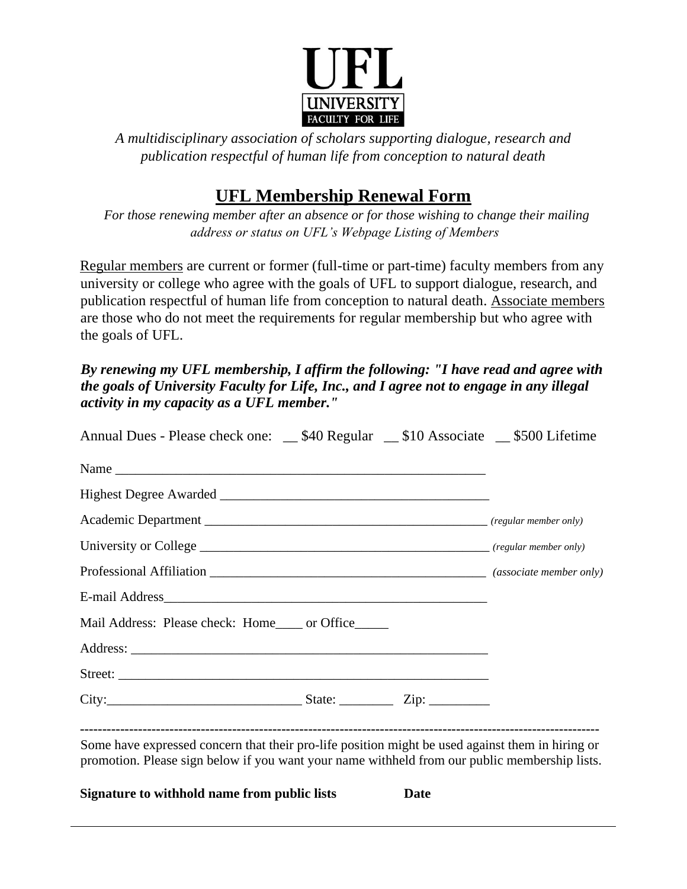

*A multidisciplinary association of scholars supporting dialogue, research and publication respectful of human life from conception to natural death*

## **UFL Membership Renewal Form**

*For those renewing member after an absence or for those wishing to change their mailing address or status on UFL's Webpage Listing of Members*

Regular members are current or former (full-time or part-time) faculty members from any university or college who agree with the goals of UFL to support dialogue, research, and publication respectful of human life from conception to natural death. Associate members are those who do not meet the requirements for regular membership but who agree with the goals of UFL.

*By renewing my UFL membership, I affirm the following: "I have read and agree with the goals of University Faculty for Life, Inc., and I agree not to engage in any illegal activity in my capacity as a UFL member."* 

| Mail Address: Please check: Home_____ or Office______                                                                                                                                             |  |
|---------------------------------------------------------------------------------------------------------------------------------------------------------------------------------------------------|--|
|                                                                                                                                                                                                   |  |
|                                                                                                                                                                                                   |  |
|                                                                                                                                                                                                   |  |
| Some have expressed concern that their pro-life position might be used against them in hiring or<br>promotion. Please sign below if you want your name withheld from our public membership lists. |  |

**Signature to withhold name from public lists Date**